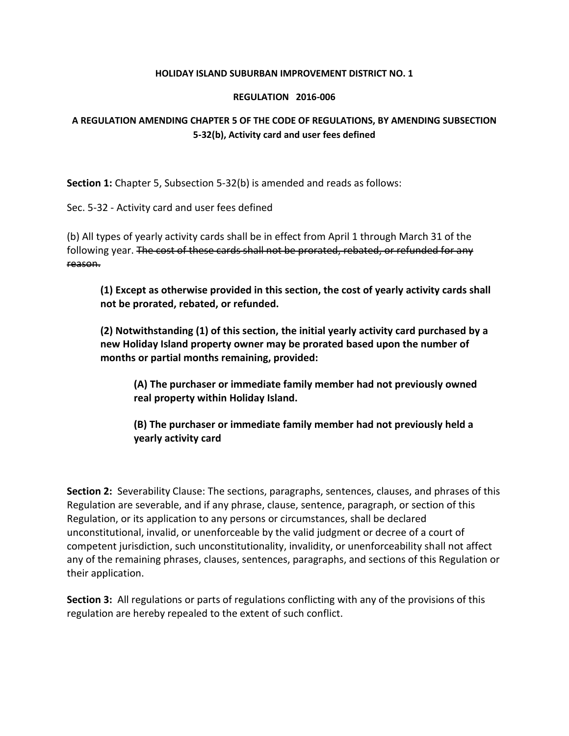## **HOLIDAY ISLAND SUBURBAN IMPROVEMENT DISTRICT NO. 1**

## **REGULATION 2016-006**

## **A REGULATION AMENDING CHAPTER 5 OF THE CODE OF REGULATIONS, BY AMENDING SUBSECTION 5-32(b), Activity card and user fees defined**

**Section 1:** Chapter 5, Subsection 5-32(b) is amended and reads as follows:

Sec. 5-32 - Activity card and user fees defined

(b) All types of yearly activity cards shall be in effect from April 1 through March 31 of the following year. The cost of these cards shall not be prorated, rebated, or refunded for any reason.

**(1) Except as otherwise provided in this section, the cost of yearly activity cards shall not be prorated, rebated, or refunded.** 

**(2) Notwithstanding (1) of this section, the initial yearly activity card purchased by a new Holiday Island property owner may be prorated based upon the number of months or partial months remaining, provided:**

**(A) The purchaser or immediate family member had not previously owned real property within Holiday Island.**

**(B) The purchaser or immediate family member had not previously held a yearly activity card**

**Section 2:** Severability Clause: The sections, paragraphs, sentences, clauses, and phrases of this Regulation are severable, and if any phrase, clause, sentence, paragraph, or section of this Regulation, or its application to any persons or circumstances, shall be declared unconstitutional, invalid, or unenforceable by the valid judgment or decree of a court of competent jurisdiction, such unconstitutionality, invalidity, or unenforceability shall not affect any of the remaining phrases, clauses, sentences, paragraphs, and sections of this Regulation or their application.

**Section 3:** All regulations or parts of regulations conflicting with any of the provisions of this regulation are hereby repealed to the extent of such conflict.